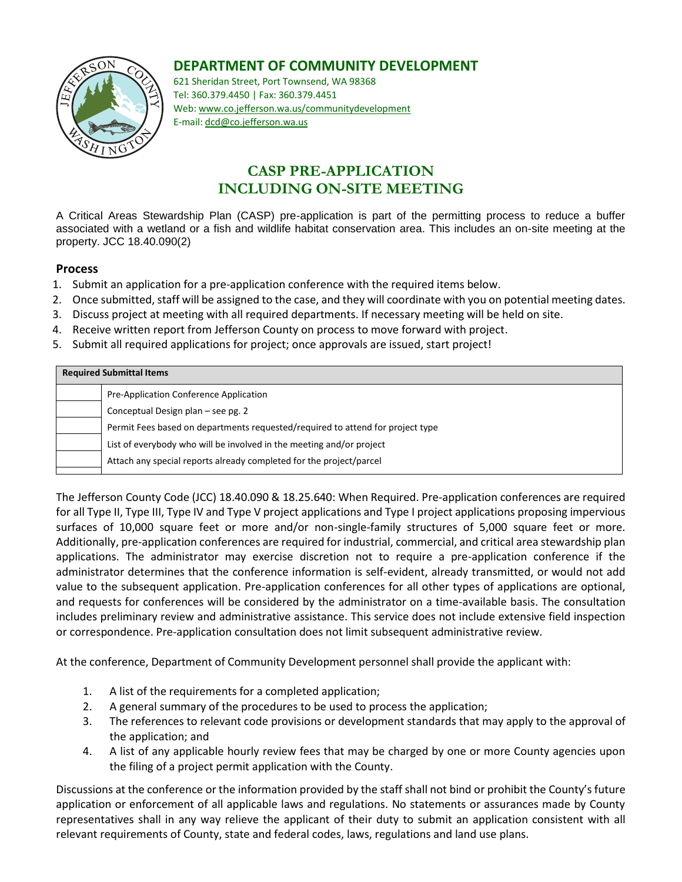## **DEPARTMENT OF COMMUNITY DEVELOPMENT**



621 Sheridan Street, Port Townsend, WA 98368 Tel: 360.379.4450 | Fax: 360.379.4451 Web: www.co.jefferson.wa.us/communitydevelopment E-mail: dcd@co.jefferson.wa.us

# **CASP PRE-APPLICATION INCLUDING ON-SITE MEETING**

A Critical Areas Stewardship Plan (CASP) pre-application is part of the permitting process to reduce a buffer associated with a wetland or a fish and wildlife habitat conservation area. This includes an on-site meeting at the property. JCC 18.40.090(2)

### **Process**

- 1. Submit an application for a pre-application conference with the required items below.
- 2. Once submitted, staff will be assigned to the case, and they will coordinate with you on potential meeting dates.
- 3. Discuss project at meeting with all required departments. If necessary meeting will be held on site.
- 4. Receive written report from Jefferson County on process to move forward with project.
- 5. Submit all required applications for project; once approvals are issued, start project!

| <b>Required Submittal Items</b> |                                                                                |  |  |  |
|---------------------------------|--------------------------------------------------------------------------------|--|--|--|
|                                 | Pre-Application Conference Application                                         |  |  |  |
|                                 | Conceptual Design plan – see pg. 2                                             |  |  |  |
|                                 | Permit Fees based on departments requested/required to attend for project type |  |  |  |
|                                 | List of everybody who will be involved in the meeting and/or project           |  |  |  |
|                                 | Attach any special reports already completed for the project/parcel            |  |  |  |

The Jefferson County Code (JCC) 18.40.090 & 18.25.640: When Required. Pre-application conferences are required for all Type II, Type III, Type IV and Type V project applications and Type I project applications proposing impervious surfaces of 10,000 square feet or more and/or non-single-family structures of 5,000 square feet or more. Additionally, pre-application conferences are required for industrial, commercial, and critical area stewardship plan applications. The administrator may exercise discretion not to require a pre-application conference if the administrator determines that the conference information is self-evident, already transmitted, or would not add value to the subsequent application. Pre-application conferences for all other types of applications are optional, and requests for conferences will be considered by the administrator on a time-available basis. The consultation includes preliminary review and administrative assistance. This service does not include extensive field inspection or correspondence. Pre-application consultation does not limit subsequent administrative review.

At the conference, Department of Community Development personnel shall provide the applicant with:

- 1. A list of the requirements for a completed application;
- 2. A general summary of the procedures to be used to process the application;
- 3. The references to relevant code provisions or development standards that may apply to the approval of the application; and
- 4. A list of any applicable hourly review fees that may be charged by one or more County agencies upon the filing of a project permit application with the County.

Discussions at the conference or the information provided by the staff shall not bind or prohibit the County's future application or enforcement of all applicable laws and regulations. No statements or assurances made by County representatives shall in any way relieve the applicant of their duty to submit an application consistent with all relevant requirements of County, state and federal codes, laws, regulations and land use plans.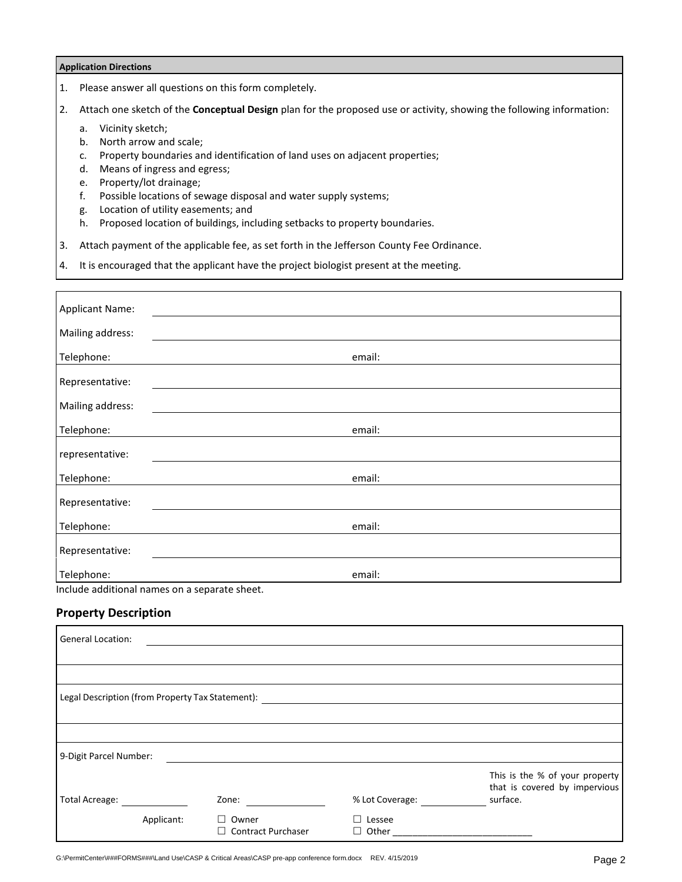#### **Application Directions**

1. Please answer all questions on this form completely.

2. Attach one sketch of the **Conceptual Design** plan for the proposed use or activity, showing the following information:

- a. Vicinity sketch;
- b. North arrow and scale;
- c. Property boundaries and identification of land uses on adjacent properties;
- d. Means of ingress and egress;
- e. Property/lot drainage;
- f. Possible locations of sewage disposal and water supply systems;
- g. Location of utility easements; and
- h. Proposed location of buildings, including setbacks to property boundaries.
- 3. Attach payment of the applicable fee, as set forth in the Jefferson County Fee Ordinance.
- 4. It is encouraged that the applicant have the project biologist present at the meeting.

| <b>Applicant Name:</b>                        |        |  |  |  |  |
|-----------------------------------------------|--------|--|--|--|--|
| Mailing address:                              |        |  |  |  |  |
|                                               |        |  |  |  |  |
| Telephone:                                    | email: |  |  |  |  |
| Representative:                               |        |  |  |  |  |
|                                               |        |  |  |  |  |
| Mailing address:                              |        |  |  |  |  |
| Telephone:                                    | email: |  |  |  |  |
| representative:                               |        |  |  |  |  |
|                                               |        |  |  |  |  |
| Telephone:                                    | email: |  |  |  |  |
| Representative:                               |        |  |  |  |  |
|                                               |        |  |  |  |  |
| Telephone:                                    | email: |  |  |  |  |
| Representative:                               |        |  |  |  |  |
| Telephone:                                    | email: |  |  |  |  |
| Include additional names on a separate sheet. |        |  |  |  |  |

### **Property Description**

| <b>General Location:</b>                         |            |                                    |                 |                                                                 |
|--------------------------------------------------|------------|------------------------------------|-----------------|-----------------------------------------------------------------|
|                                                  |            |                                    |                 |                                                                 |
|                                                  |            |                                    |                 |                                                                 |
| Legal Description (from Property Tax Statement): |            |                                    |                 |                                                                 |
|                                                  |            |                                    |                 |                                                                 |
|                                                  |            |                                    |                 |                                                                 |
| 9-Digit Parcel Number:                           |            |                                    |                 |                                                                 |
|                                                  |            |                                    |                 | This is the % of your property<br>that is covered by impervious |
| <b>Total Acreage:</b>                            |            | Zone:                              | % Lot Coverage: | surface.                                                        |
|                                                  | Applicant: | Owner<br><b>Contract Purchaser</b> | Lessee          |                                                                 |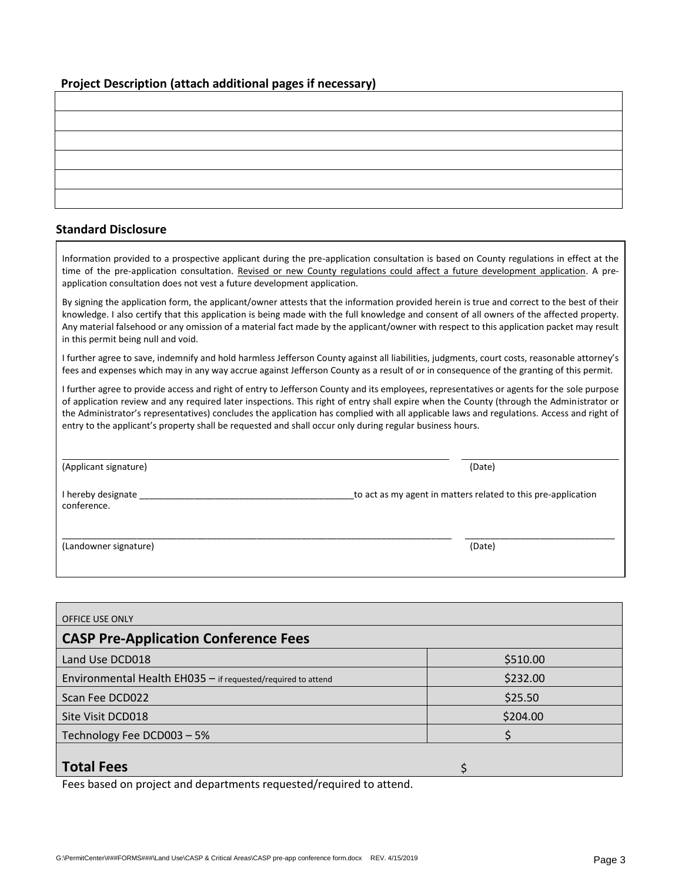#### **Project Description (attach additional pages if necessary)**

#### **Standard Disclosure**

Information provided to a prospective applicant during the pre-application consultation is based on County regulations in effect at the time of the pre-application consultation. Revised or new County regulations could affect a future development application. A preapplication consultation does not vest a future development application.

By signing the application form, the applicant/owner attests that the information provided herein is true and correct to the best of their knowledge. I also certify that this application is being made with the full knowledge and consent of all owners of the affected property. Any material falsehood or any omission of a material fact made by the applicant/owner with respect to this application packet may result in this permit being null and void.

I further agree to save, indemnify and hold harmless Jefferson County against all liabilities, judgments, court costs, reasonable attorney's fees and expenses which may in any way accrue against Jefferson County as a result of or in consequence of the granting of this permit.

I further agree to provide access and right of entry to Jefferson County and its employees, representatives or agents for the sole purpose of application review and any required later inspections. This right of entry shall expire when the County (through the Administrator or the Administrator's representatives) concludes the application has complied with all applicable laws and regulations. Access and right of entry to the applicant's property shall be requested and shall occur only during regular business hours.

(Applicant signature) (Date)

I hereby designate \_\_\_\_\_\_\_\_\_\_\_\_\_\_\_\_\_\_\_\_\_\_\_\_\_\_\_\_\_\_\_\_\_\_\_\_\_\_\_\_\_\_\_to act as my agent in matters related to this pre-application conference.

(Landowner signature) (Date)

| <b>OFFICE USE ONLY</b>                                       |          |  |  |  |  |
|--------------------------------------------------------------|----------|--|--|--|--|
| <b>CASP Pre-Application Conference Fees</b>                  |          |  |  |  |  |
| Land Use DCD018                                              | \$510.00 |  |  |  |  |
| Environmental Health EH035 - if requested/required to attend | \$232.00 |  |  |  |  |
| Scan Fee DCD022                                              | \$25.50  |  |  |  |  |
| Site Visit DCD018                                            | \$204.00 |  |  |  |  |
| Technology Fee DCD003 - 5%                                   |          |  |  |  |  |
| <b>Total Fees</b>                                            |          |  |  |  |  |

Fees based on project and departments requested/required to attend.

\_\_\_\_\_\_\_\_\_\_\_\_\_\_\_\_\_\_\_\_\_\_\_\_\_\_\_\_\_\_\_\_\_\_\_\_\_\_\_\_\_\_\_\_\_\_\_\_\_\_\_\_\_\_\_\_\_\_\_\_\_\_\_\_\_\_\_\_\_\_\_\_\_\_\_\_\_\_ \_\_\_\_\_\_\_\_\_\_\_\_\_\_\_\_\_\_\_\_\_\_\_\_\_\_\_\_\_\_